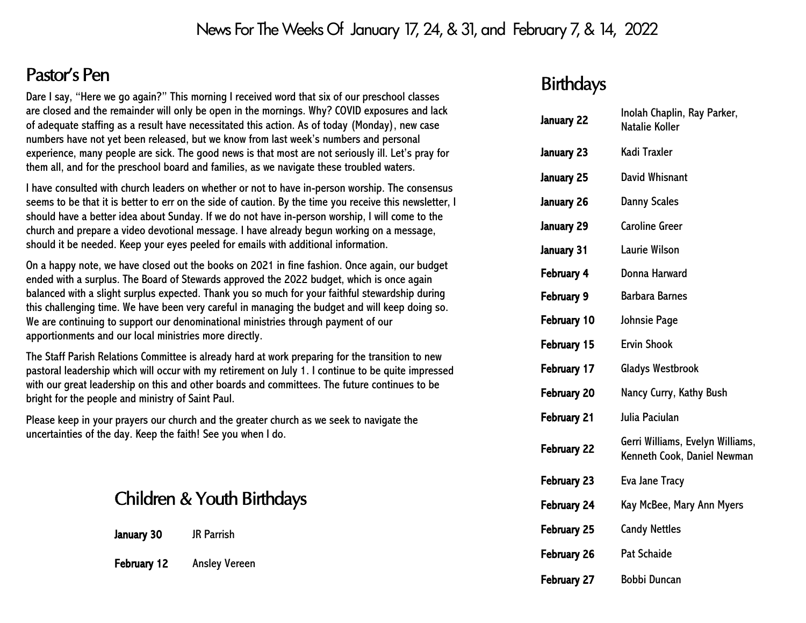### News For The Weeks Of January 17, 24, & 31, and February 7, & 14, 2022

## Pastor's Pen

Dare I say, "Here we go again?" This morning I received word that six of our preschool classes are closed and the remainder will only be open in the mornings. Why? COVID exposures and lack of adequate staffing as a result have necessitated this action. As of today (Monday), new case numbers have not yet been released, but we know from last week's numbers and personal experience, many people are sick. The good news is that most are not seriously ill. Let's pray for them all, and for the preschool board and families, as we navigate these troubled waters.

I have consulted with church leaders on whether or not to have in-person worship. The consensus seems to be that it is better to err on the side of caution. By the time you receive this newsletter, I should have a better idea about Sunday. If we do not have in-person worship, I will come to the church and prepare a video devotional message. I have already begun working on a message, should it be needed. Keep your eyes peeled for emails with additional information.

On a happy note, we have closed out the books on 2021 in fine fashion. Once again, our budget ended with a surplus. The Board of Stewards approved the 2022 budget, which is once again balanced with a slight surplus expected. Thank you so much for your faithful stewardship during this challenging time. We have been very careful in managing the budget and will keep doing so. We are continuing to support our denominational ministries through payment of our apportionments and our local ministries more directly.

The Staff Parish Relations Committee is already hard at work preparing for the transition to new pastoral leadership which will occur with my retirement on July 1. I continue to be quite impressed with our great leadership on this and other boards and committees. The future continues to be bright for the people and ministry of Saint Paul.

Please keep in your prayers our church and the greater church as we seek to navigate the uncertainties of the day. Keep the faith! See you when I do.

## Children & Youth Birthdays

| January 30 | <b>JR Parrish</b> |
|------------|-------------------|
|------------|-------------------|

February 12 Ansley Vereen

### **Birthdays**

| January 22  | Inolah Chaplin, Ray Parker,<br><b>Natalie Koller</b>            |
|-------------|-----------------------------------------------------------------|
| January 23  | Kadi Traxler                                                    |
| January 25  | <b>David Whisnant</b>                                           |
| January 26  | <b>Danny Scales</b>                                             |
| January 29  | <b>Caroline Greer</b>                                           |
| January 31  | <b>Laurie Wilson</b>                                            |
| February 4  | Donna Harward                                                   |
| February 9  | <b>Barbara Barnes</b>                                           |
| February 10 | <b>Johnsie Page</b>                                             |
| February 15 | <b>Ervin Shook</b>                                              |
| February 17 | Gladys Westbrook                                                |
| February 20 | Nancy Curry, Kathy Bush                                         |
| February 21 | Julia Paciulan                                                  |
| February 22 | Gerri Williams, Evelyn Williams,<br>Kenneth Cook, Daniel Newman |
| February 23 | <b>Eva Jane Tracy</b>                                           |
| February 24 | Kay McBee, Mary Ann Myers                                       |
| February 25 | <b>Candy Nettles</b>                                            |
| February 26 | <b>Pat Schaide</b>                                              |
| February 27 | <b>Bobbi Duncan</b>                                             |